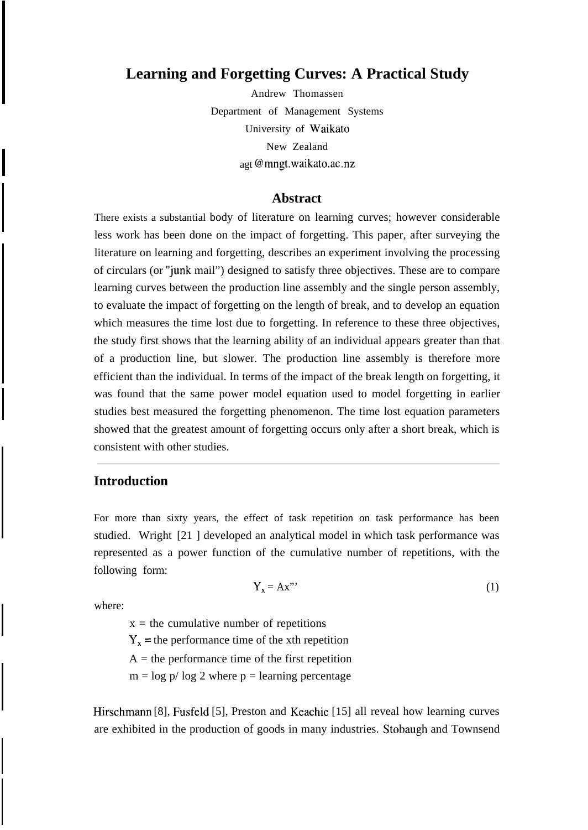# **Learning and Forgetting Curves: A Practical Study**

Andrew Thomassen Department of Management Systems University of Waikato New Zealand agt @mngt.waikato.ac .nz

## **Abstract**

There exists a substantial body of literature on learning curves; however considerable less work has been done on the impact of forgetting. This paper, after surveying the literature on learning and forgetting, describes an experiment involving the processing of circulars (or 'junk mail") designed to satisfy three objectives. These are to compare learning curves between the production line assembly and the single person assembly, to evaluate the impact of forgetting on the length of break, and to develop an equation which measures the time lost due to forgetting. In reference to these three objectives, the study first shows that the learning ability of an individual appears greater than that of a production line, but slower. The production line assembly is therefore more efficient than the individual. In terms of the impact of the break length on forgetting, it was found that the same power model equation used to model forgetting in earlier studies best measured the forgetting phenomenon. The time lost equation parameters showed that the greatest amount of forgetting occurs only after a short break, which is consistent with other studies.

## **Introduction**

For more than sixty years, the effect of task repetition on task performance has been studied. Wright [21 ] developed an analytical model in which task performance was represented as a power function of the cumulative number of repetitions, with the following form:

$$
Y_x = Ax^{\prime\prime} \tag{1}
$$

where:

 $x =$  the cumulative number of repetitions

 $Y_x$  = the performance time of the xth repetition

 $A =$  the performance time of the first repetition

 $m = \log p / \log 2$  where  $p = \text{learning percentage}$ 

Hirschmann [8], Fusfeld [5], Preston and Keachie [15] all reveal how learning curves are exhibited in the production of goods in many industries. Stobaugh and Townsend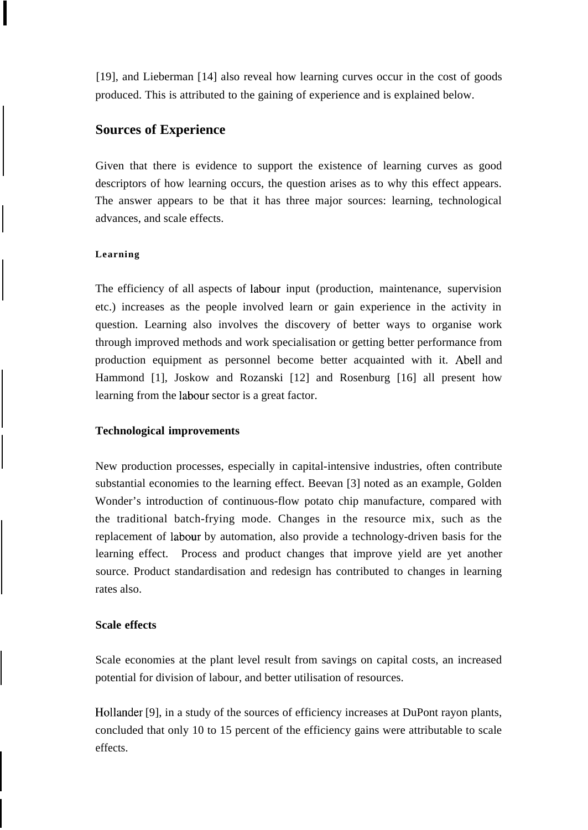[19], and Lieberman [14] also reveal how learning curves occur in the cost of goods produced. This is attributed to the gaining of experience and is explained below.

# **Sources of Experience**

Given that there is evidence to support the existence of learning curves as good descriptors of how learning occurs, the question arises as to why this effect appears. The answer appears to be that it has three major sources: learning, technological advances, and scale effects.

### **Learning**

The efficiency of all aspects of labour input (production, maintenance, supervision etc.) increases as the people involved learn or gain experience in the activity in question. Learning also involves the discovery of better ways to organise work through improved methods and work specialisation or getting better performance from production equipment as personnel become better acquainted with it. Abell and Hammond [1], Joskow and Rozanski [12] and Rosenburg [16] all present how learning from the labour sector is a great factor.

### **Technological improvements**

New production processes, especially in capital-intensive industries, often contribute substantial economies to the learning effect. Beevan [3] noted as an example, Golden Wonder's introduction of continuous-flow potato chip manufacture, compared with the traditional batch-frying mode. Changes in the resource mix, such as the replacement of labour by automation, also provide a technology-driven basis for the learning effect. Process and product changes that improve yield are yet another source. Product standardisation and redesign has contributed to changes in learning rates also.

### **Scale effects**

Scale economies at the plant level result from savings on capital costs, an increased potential for division of labour, and better utilisation of resources.

Hollander [9], in a study of the sources of efficiency increases at DuPont rayon plants, concluded that only 10 to 15 percent of the efficiency gains were attributable to scale effects.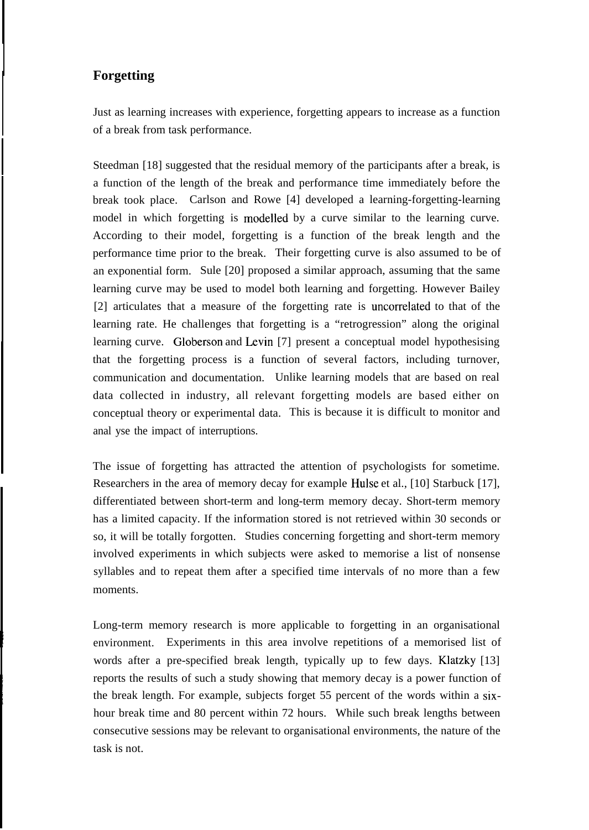# **Forgetting**

Just as learning increases with experience, forgetting appears to increase as a function of a break from task performance.

Steedman [18] suggested that the residual memory of the participants after a break, is a function of the length of the break and performance time immediately before the break took place. Carlson and Rowe [4] developed a learning-forgetting-learning model in which forgetting is modelled by a curve similar to the learning curve. According to their model, forgetting is a function of the break length and the performance time prior to the break. Their forgetting curve is also assumed to be of an exponential form. Sule [20] proposed a similar approach, assuming that the same learning curve may be used to model both learning and forgetting. However Bailey [2] articulates that a measure of the forgetting rate is uncorrelated to that of the learning rate. He challenges that forgetting is a "retrogression" along the original learning curve. Globerson and Levin [7] present a conceptual model hypothesising that the forgetting process is a function of several factors, including turnover, communication and documentation. Unlike learning models that are based on real data collected in industry, all relevant forgetting models are based either on conceptual theory or experimental data. This is because it is difficult to monitor and anal yse the impact of interruptions.

The issue of forgetting has attracted the attention of psychologists for sometime. Researchers in the area of memory decay for example Hulse et al., [10] Starbuck [17], differentiated between short-term and long-term memory decay. Short-term memory has a limited capacity. If the information stored is not retrieved within 30 seconds or so, it will be totally forgotten. Studies concerning forgetting and short-term memory involved experiments in which subjects were asked to memorise a list of nonsense syllables and to repeat them after a specified time intervals of no more than a few moments.

Long-term memory research is more applicable to forgetting in an organisational environment. Experiments in this area involve repetitions of a memorised list of words after a pre-specified break length, typically up to few days. Klatzky [13] reports the results of such a study showing that memory decay is a power function of the break length. For example, subjects forget 55 percent of the words within a sixhour break time and 80 percent within 72 hours. While such break lengths between consecutive sessions may be relevant to organisational environments, the nature of the task is not.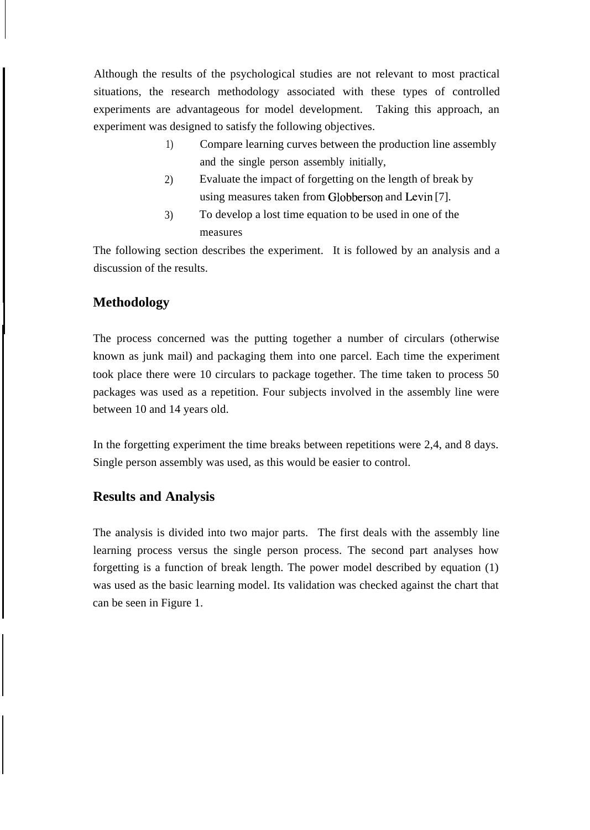Although the results of the psychological studies are not relevant to most practical situations, the research methodology associated with these types of controlled experiments are advantageous for model development. Taking this approach, an experiment was designed to satisfy the following objectives.

- 1) Compare learning curves between the production line assembly and the single person assembly initially,
- 2) Evaluate the impact of forgetting on the length of break by using measures taken from Globberson and Levin [7].
- 3) To develop a lost time equation to be used in one of the measures

The following section describes the experiment. It is followed by an analysis and a discussion of the results.

# **Methodology**

The process concerned was the putting together a number of circulars (otherwise known as junk mail) and packaging them into one parcel. Each time the experiment took place there were 10 circulars to package together. The time taken to process 50 packages was used as a repetition. Four subjects involved in the assembly line were between 10 and 14 years old.

In the forgetting experiment the time breaks between repetitions were 2,4, and 8 days. Single person assembly was used, as this would be easier to control.

# **Results and Analysis**

The analysis is divided into two major parts. The first deals with the assembly line learning process versus the single person process. The second part analyses how forgetting is a function of break length. The power model described by equation (1) was used as the basic learning model. Its validation was checked against the chart that can be seen in Figure 1.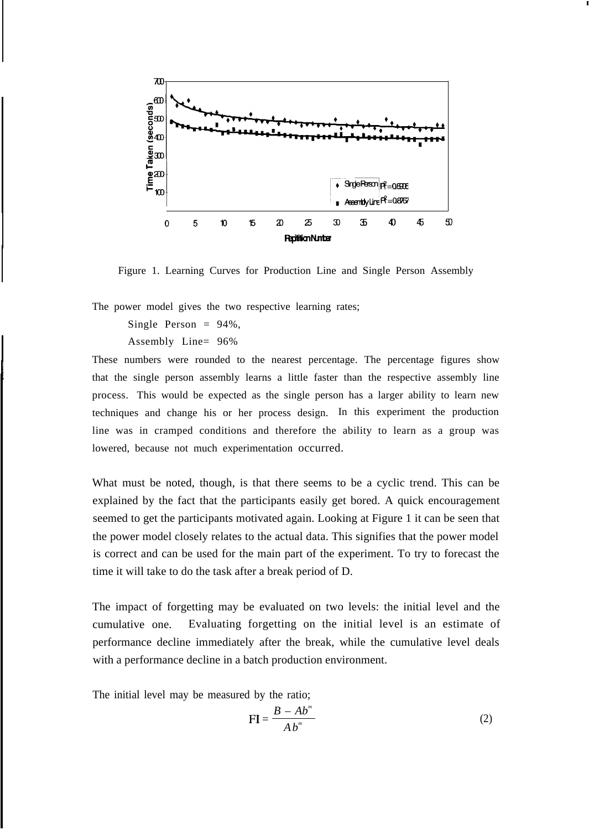

Figure 1. Learning Curves for Production Line and Single Person Assembly

The power model gives the two respective learning rates;

Single Person  $= 94\%$ ,

Assembly Line= 96%

These numbers were rounded to the nearest percentage. The percentage figures show that the single person assembly learns a little faster than the respective assembly line process. This would be expected as the single person has a larger ability to learn new techniques and change his or her process design. In this experiment the production line was in cramped conditions and therefore the ability to learn as a group was lowered, because not much experimentation occurred.

What must be noted, though, is that there seems to be a cyclic trend. This can be explained by the fact that the participants easily get bored. A quick encouragement seemed to get the participants motivated again. Looking at Figure 1 it can be seen that the power model closely relates to the actual data. This signifies that the power model is correct and can be used for the main part of the experiment. To try to forecast the time it will take to do the task after a break period of D.

The impact of forgetting may be evaluated on two levels: the initial level and the cumulative one. Evaluating forgetting on the initial level is an estimate of performance decline immediately after the break, while the cumulative level deals with a performance decline in a batch production environment.

The initial level may be measured by the ratio;

$$
FI = \frac{B - Ab^m}{Ab^m} \tag{2}
$$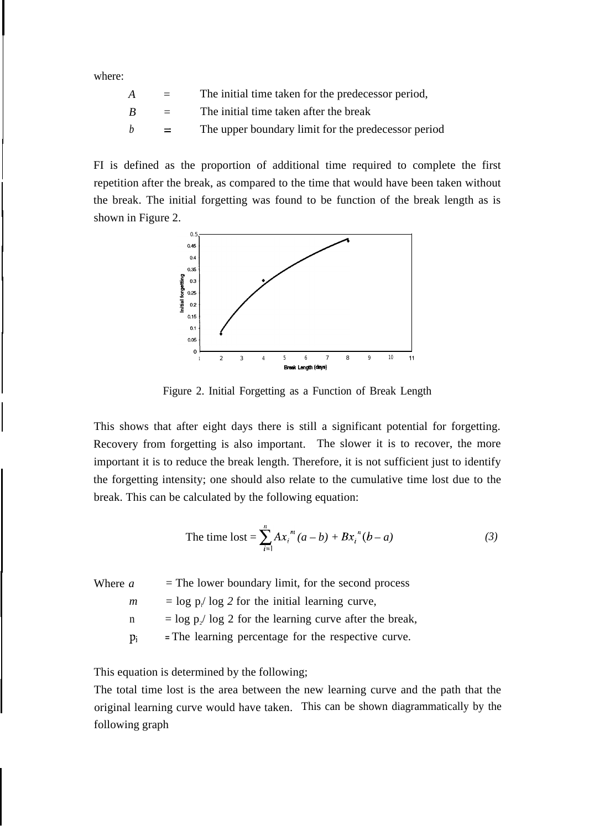where:

| A | $=$ $-$           | The initial time taken for the predecessor period,  |
|---|-------------------|-----------------------------------------------------|
| B | $\equiv$ $\equiv$ | The initial time taken after the break              |
| h | $=$ $-$           | The upper boundary limit for the predecessor period |

FI is defined as the proportion of additional time required to complete the first repetition after the break, as compared to the time that would have been taken without the break. The initial forgetting was found to be function of the break length as is shown in Figure 2.



Figure 2. Initial Forgetting as a Function of Break Length

This shows that after eight days there is still a significant potential for forgetting. Recovery from forgetting is also important. The slower it is to recover, the more important it is to reduce the break length. Therefore, it is not sufficient just to identify the forgetting intensity; one should also relate to the cumulative time lost due to the break. This can be calculated by the following equation:

The time lost = 
$$
\sum_{i=1}^{n} Ax_i^{m} (a - b) + Bx_i^{n} (b - a)
$$
 (3)

Where  $a =$  The lower boundary limit, for the second process  $m = \log p / \log 2$  for the initial learning curve,  $n = \log p/ \log 2$  for the learning curve after the break, **Pi <sup>=</sup>**The learning percentage for the respective curve.

This equation is determined by the following;

The total time lost is the area between the new learning curve and the path that the original learning curve would have taken. This can be shown diagrammatically by the following graph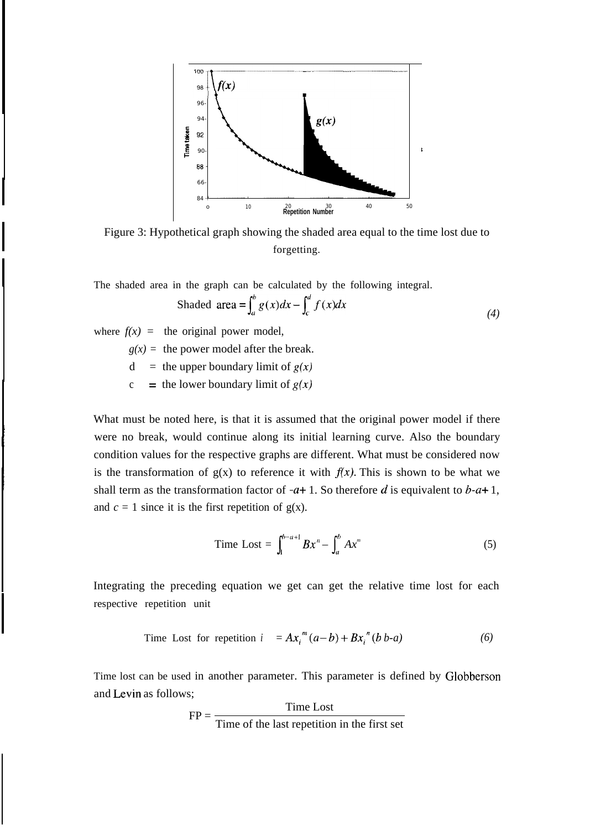

Figure 3: Hypothetical graph showing the shaded area equal to the time lost due to forgetting.

The shaded area in the graph can be calculated by the following integral.

Shaded area = 
$$
\int_{a}^{b} g(x)dx - \int_{c}^{d} f(x)dx
$$
 (4)

where  $f(x) =$  the original power model,

 $g(x)$  = the power model after the break.

 $d =$  the upper boundary limit of  $g(x)$ 

c = the lower boundary limit of  $g(x)$ 

What must be noted here, is that it is assumed that the original power model if there were no break, would continue along its initial learning curve. Also the boundary condition values for the respective graphs are different. What must be considered now is the transformation of  $g(x)$  to reference it with  $f(x)$ . This is shown to be what we shall term as the transformation factor of  $-a+1$ . So therefore d is equivalent to b-a+ 1, and  $c = 1$  since it is the first repetition of  $g(x)$ .

Time Lost = 
$$
\int_{1}^{b-a+1} Bx^{n} - \int_{a}^{b} Ax^{m}
$$
 (5)

Integrating the preceding equation we get can get the relative time lost for each respective repetition unit

Time Lost for repetition 
$$
i = Ax_i^m(a-b) + Bx_i^n(b b-a)
$$
 (6)

Time lost can be used in another parameter. This parameter is defined by Globberson and Levin as follows;

$$
FP = \frac{Time \text{ Lost}}{Time \text{ of the last repetition in the first set}}
$$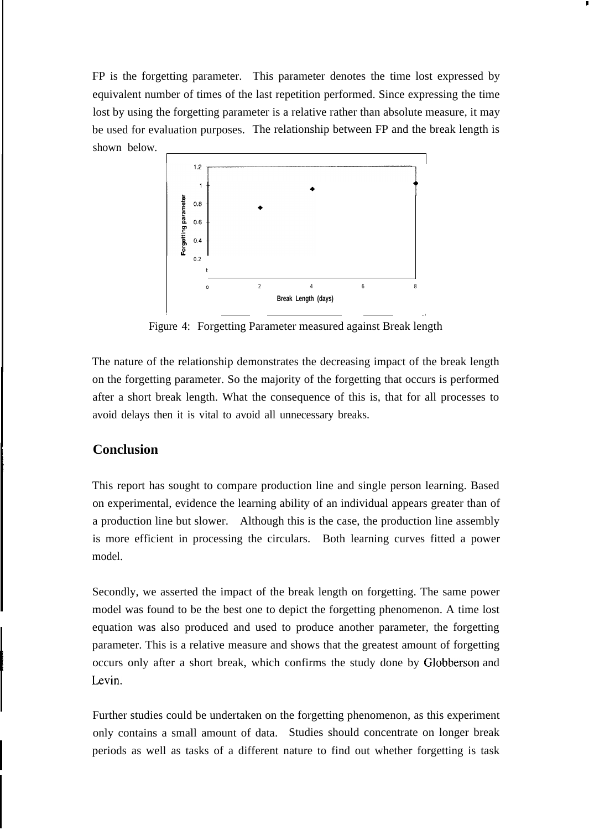FP is the forgetting parameter. This parameter denotes the time lost expressed by equivalent number of times of the last repetition performed. Since expressing the time lost by using the forgetting parameter is a relative rather than absolute measure, it may be used for evaluation purposes. The relationship between FP and the break length is shown below.

**I**



Figure 4: Forgetting Parameter measured against Break length

—,

The nature of the relationship demonstrates the decreasing impact of the break length on the forgetting parameter. So the majority of the forgetting that occurs is performed after a short break length. What the consequence of this is, that for all processes to avoid delays then it is vital to avoid all unnecessary breaks.

## **Conclusion**

This report has sought to compare production line and single person learning. Based on experimental, evidence the learning ability of an individual appears greater than of a production line but slower. Although this is the case, the production line assembly is more efficient in processing the circulars. Both learning curves fitted a power model.

Secondly, we asserted the impact of the break length on forgetting. The same power model was found to be the best one to depict the forgetting phenomenon. A time lost equation was also produced and used to produce another parameter, the forgetting parameter. This is a relative measure and shows that the greatest amount of forgetting occurs only after a short break, which confirms the study done by Globberson and Levin.

Further studies could be undertaken on the forgetting phenomenon, as this experiment only contains a small amount of data. Studies should concentrate on longer break periods as well as tasks of a different nature to find out whether forgetting is task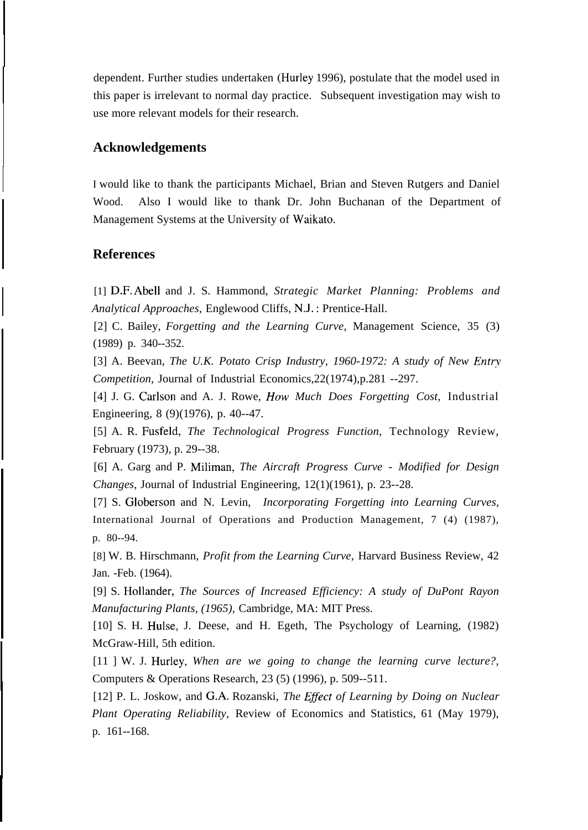dependent. Further studies undertaken (Hurley 1996), postulate that the model used in this paper is irrelevant to normal day practice. Subsequent investigation may wish to use more relevant models for their research.

## **Acknowledgements**

I would like to thank the participants Michael, Brian and Steven Rutgers and Daniel Wood. Also I would like to thank Dr. John Buchanan of the Department of Management Systems at the University of Waikato.

### **References**

[1] D.F. Abell and J. S. Hammond, *Strategic Market Planning: Problems and Analytical Approaches,* Englewood Cliffs, N.J. : Prentice-Hall.

[2] C. Bailey, *Forgetting and the Learning Curve,* Management Science, 35 (3) (1989) p. 340--352.

[3] A. Beevan, *The U.K. Potato Crisp Industry, 1960-1972: A study of New Entry Competition,* Journal of Industrial Economics,22(1974),p.281 --297.

[4] J. G. Carlson and A. J. Rowe, How *Much Does Forgetting Cost,* Industrial Engineering, 8 (9)(1976), p. 40--47.

[5] A. R. Fusfeld, *The Technological Progress Function,* Technology Review, February (1973), p. 29--38.

[6] A. Garg and P. Miliman, *The Aircraft Progress Curve - Modified for Design Changes,* Journal of Industrial Engineering, 12(1)(1961), p. 23--28.

[7] S. Globerson and N. Levin, *Incorporating Forgetting into Learning Curves,* International Journal of Operations and Production Management, 7 (4) (1987), p. 80--94.

[8] W. B. Hirschmann, *Profit from the Learning Curve,* Harvard Business Review, 42 Jan. -Feb. (1964).

[9] S. Hollander, *The Sources of Increased Efficiency: A study of DuPont Rayon Manufacturing Plants, (1965),* Cambridge, MA: MIT Press.

[10] S. H. Hulse, J. Deese, and H. Egeth, The Psychology of Learning, (1982) McGraw-Hill, 5th edition.

[11 ] W. J. Hurley, *When are we going to change the learning curve lecture?,* Computers & Operations Research, 23 (5) (1996), p. 509--511.

[12] P. L. Joskow, and G.A. Rozanski, *The Effect of Learning by Doing on Nuclear Plant Operating Reliability,* Review of Economics and Statistics, 61 (May 1979), p. 161--168.